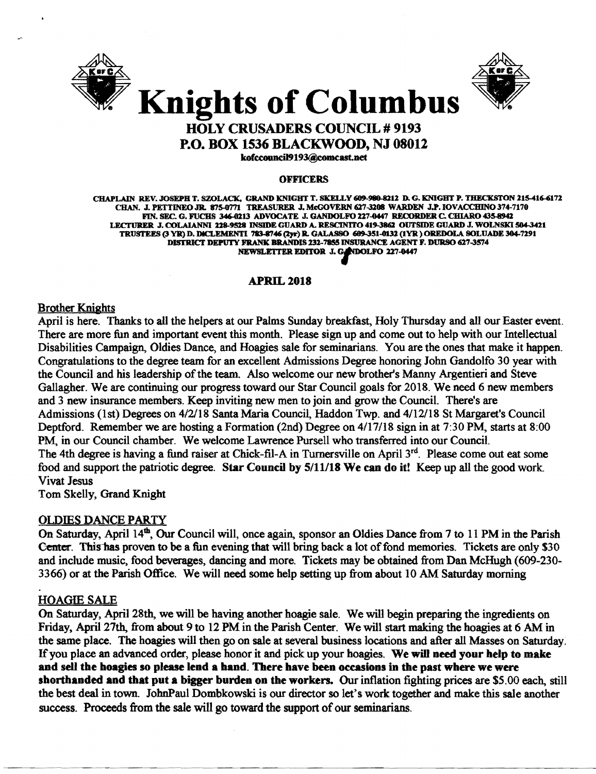



# HOLY CRUSADERS COUNCIL # 9193

P.O. BOX 1536 BLACKWOOD, NJ 08012

kofccouncil9193@comcast.net

#### OFFICERS

CHAPLAIN REV. JOSEPH T. SZOLACK, GRAND KNIGHT T. SKELLY 609-980-8212 D. G. KNIGHT P. THECKSTON 215-416-6172 CHAN. J. PETTINEO JR. 875-0771 TREASURER J. McGOVERN 627-3208 WARDEN J.P. IOVACCHINO 374-7170 FIN. SEC. G. FUCHS 346-0213 ADVOCATE J. GANDOLFO 227-G447 RECORDER C. CHIARO 435-8942 LECTURER J. COLAIANNI 228-9528 INSIDE GUARD A. RESCINITO 419-3862 OUTSIDE GUARD J. WOLNSKI 504-3421 TRUSTEES (3 YR) D. DlCLEMENTI ~46(lJr) R. GALASSO 689-351-0132 (IYR) OREDOLA SOLUADE 304-7291 DISTRICT DEPUTY FRANK BRANDIS 232-7855 INSURANCE AGENT F. DURSO 627-3574 NEWSLETTER EDITOR J. GADDI-REGENT INEWSLETTER EDITOR J. GADDOLFO 227-0447

# **APRIL 2018**

Brother Kniahts

April is here. Thanks to all the helpers at our Palms Sunday breakfast, Holy Thursday and all our Easter event. There are more fun and important event this month. Please sign up and come out to help with our Intellectual Disabilities Campaign, Oldies Dance, and Hoagies sale for seminarians. You are the ones that make it happen. Congratulations to the degree team for an excellent Admissions Degree honoring John Gandolfo 30 year with the Council and his leadership of the team. Also welcome our new brother's Manny Argentieri and Steve Gallagher. We are continuing our progress toward our Star Council goals for 2018. We need 6 new members and 3 new insurance members. Keep inviting new men to join and grow the Council. There's are Admissions (1st) Degrees on 4/2/18 Santa Maria Council, Haddon Twp. and 4/12/18 St Margaret's Council Deptford. Remember we are hosting a Formation (2nd) Degree on 4/17/18 sign in at 7:30 PM, starts at 8:00 PM, in our Council chamber. We welcome Lawrence Pursell who transferred into our Council. The 4th degree is having a fund raiser at Chick-fil-A in Turnersville on April 3<sup>rd</sup>. Please come out eat some food and support the patriotic degree. Star Council by *5/11/18* We can do it! Keep up all the good work. Vivat Jesus

Tom Skelly, Grand Knight

# OLDIES DANCE PARTY

On Saturday, April 14<sup>th</sup>, Our Council will, once again, sponsor an Oldies Dance from 7 to 11 PM in the Parish Center. This has proven to be a fun evening that will bring back a lot of fond memories. Tickets are only \$30 and include music, food beverages, dancing and more. Tickets may be obtained from Dan McHugh (609-230 3366) or at the Parish Office. We will need some help setting up from about 10 AM Saturday morning

# **HOAGIE SALE**

On Saturday, April 28th, we will be having another hoagie sale. We will begin preparing the ingredients on Friday, April 27th, from about 9 to 12 PM in the Parish Center. We will start making the hoagies at 6 AM in the same place. The hoagies will then go on sale at several business locations and after all Masses on Saturday. Ifyou place an advanced order, please honor it and pick up your hoagies. We will need your help to make and sell the hoagies so please lend a hand. There have been occasions in the past where we were shorthanded and that put a bigger burden on the workers. Our inflation fighting prices are \$5.00 each, still the best deal in town. JohnPaul Dombkowski is our director so let's work together and make this sale another success. Proceeds from the sale will go toward the support of our seminarians.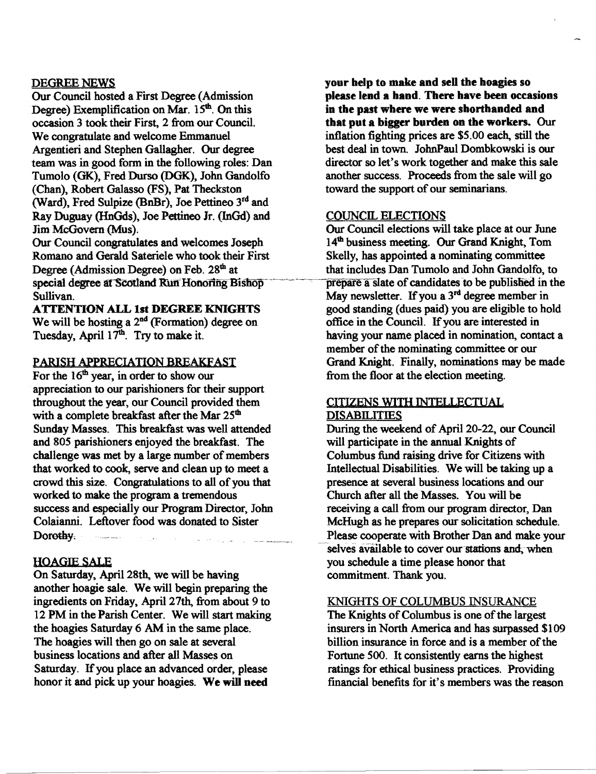# DEGREE NEWS

Our Council hosted a First Degree (Admission Degree) Exemplification on Mar.  $15<sup>th</sup>$ . On this occasion 3 took their First, 2 from our Council. We congratulate and welcome Emmanuel Argentieri and Stephen Gallagher. Our degree team was in good form in the following roles: Dan Tumolo (OK), Fred Durso (DGK), John Gandolfo (Chan), Robert Galasso (FS), Pat Theckston (Ward), Fred Sulpize (BnBr), Joe Pettineo 3rd and Ray Duguay (HnGds), Joe Pettineo Jr. (InGd) and Jim McGovern (Mus).

Our Council congratulates and welcomes Joseph Romano and Gerald Sateriele who took their First Degree (Admission Degree) on Feb. 28<sup>th</sup> at special degree at Scotland Run Honoring Bishop Sullivan.

ATTENTION ALL 1st DEGREE KNIGHTS We will be hosting a 2<sup>nd</sup> (Formation) degree on Tuesday, April 17<sup>th</sup>. Try to make it.

#### PARISH APPRECIATION BREAKFAST

For the 16<sup>th</sup> year, in order to show our appreciation to our parishioners for their support throughout the year, our Council provided them with a complete breakfast after the Mar  $25<sup>th</sup>$ Sunday Masses. This breakfast was well attended and 805 parishioners enjoyed the breakfast. The challenge was met by a large number of members that worked to cook, serve and clean up to meet a crowd this size. Congratulations to all of you that worked to make the program a tremendous success and especially our Program Director, John Colaianni. Leftover food was donated to Sister Dorothy;

### **HOAGIE SALE**

On Saturday, April 28th, we will be having another hoagie sale. We will begin preparing the ingredients on Friday, April 27th, from about 9 to 12 PM in the Parish Center. We will start making the hoagies Saturday 6 AM in the same place. The hoagies will then go on sale at several business locations and after all Masses on Saturday. If you place an advanced order, please honor it and pick up your hoagies. We will need

your help to make and sell the hoagies so please lend a band. There bave been occasions in tbe past wbere we were sbortbanded and that put a bigger burden on the workers. Our inflation fighting prices are \$5.00 each, still the best deal in town. JohnPaul Dombkowski is our director so let's work together and make this sale another success. Proceeds from the sale will go toward the support of our seminarians.

### COUNCIL ELECTIONS

Our Council elections will take place at our June 14<sup>th</sup> business meeting. Our Grand Knight, Tom Skelly, has appointed a nominating committee that includes Dan Tumolo and John Gandolfo, to prepare a slate of candidates to be published in the May newsletter. If you a 3<sup>rd</sup> degree member in good standing (dues paid) you are eligible to hold office in the Council. Ifyou are interested in having your name placed in nomination, contact a member of the nominating committee or our Grand Knight. Finally, nominations may be made from the floor at the election meeting.

#### CITIZENS WITH INTELLECTUAL **DISABILITIES**

During the weekend of April 20-22, our Council will participate in the annual Knights of Columbus fund raising drive for Citizens with Intellectual Disabilities. We will be taking up a presence at several business locations and our Church after all the Masses. You will be receiving a call from our program director, Dan McHugh as he prepares our solicitation schedule. Please cooperate with Brother Dan and make your selves available to cover our stations and, when you schedule a time please honor that commitment. Thank you.

## KNIGHTS OF COLUMBUS INSURANCE

The Knights of Columbus is one of the largest insurers in North America and has surpassed \$109 billion insurance in force and is a member of the Fortune 500. It consistently earns the highest ratings for ethical business practices. Providing financial benefits for it's members was the reason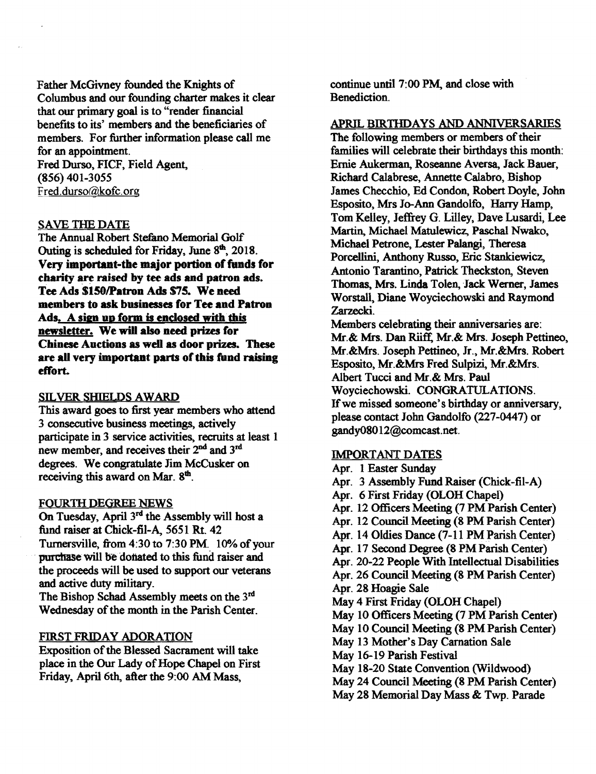Father McGivney founded the Knights of Columbus and our founding charter makes it clear that our primary goal is to "render financial benefits to its' members and the beneficiaries of members. For further information please call me for an appointment.

Fred Durso, FICF, Field Agent, (S56) 401-3055 Fred.durso@kofc.org

## SAVE THE DATE

The Annual Robert Stefano Memorial Golf Outing is scheduled for Friday. June  $8<sup>th</sup>$ , 2018. Very important-the major portion of funds for charity are raised by tee ads and patron ads. Tee Ads \$150/Patron Ads \$75. We need members to ask businesses for Tee and Patron Ads. A sign up form is enclosed with this newsletter. We will also need prizes for Chinese Auctions as well as door prizes. These are all very important parts of this fund raising effort.

### SILVER SHIELDS AWARD

This award goes to first year members who attend 3 consecutive business meetings, actively participate in 3 service activities, recruits at least 1 new member, and receives their 2<sup>nd</sup> and 3<sup>rd</sup> degrees. We congratulate Jim McCusker on receiving this award on Mar. 8<sup>th</sup>.

### FOURTH DEGREE NEWS

On Tuesday, April  $3<sup>rd</sup>$  the Assembly will host a fund raiser at Chick-fil-A, 5651 Rt. 42 Turnersville, from 4:30 to 7:30 PM. 10% of your purchase will be donated to this fund raiser and the proceeds will be used to support our veterans and active duty military.

The Bishop Schad Assembly meets on the 3rd Wednesday of the month in the Parish Center.

# FlRST FRIDAY ADORATION

Exposition of the Blessed Sacrament will take place in the Our Lady of Hope Chapel on First Friday, April 6th, after the 9:00 AM Mass,

continue until 7:00 PM, and close with Benediction.

## APRIL BlRTIIDAYS AND ANNIVERSARIES

The following members or members of their families will celebrate their birthdays this month: Ernie Aukerman, Roseanne Aversa, Jack Bauer, Richard Calabrese, Annette Calabro, Bishop James Checchio, Ed Condon, Robert Doyle, John Esposito, Mrs Jo-Ann Gandolfo, Harry Hamp, Tom Kelley, Jeffrey G. Lilley, Dave Lusardi, Lee Martin, Michael Matulewicz, Paschal Nwako, Michael Petrone. Lester Palangi, Theresa Porcellini, Anthony Russo, Eric Stankiewicz, Antonio Tarantino, Patrick Theckston, Steven Thomas, Mrs. Linda Tolen, Jack Werner, James Worstall, Diane Woyciechowski and Raymond Zarzecki.

Members celebrating their anniversaries are: Mr.& Mrs. Dan Riiff, Mr.& Mrs. Joseph Pettineo, Mr.&Mrs. Joseph Pettineo, Jr., Mr.&Mrs. Robert Esposito, Mr.&Mrs Fred Sulpizi, Mr.&Mrs. Albert Tucci and Mr.& Mrs. Paul Woyciechowski. CONGRATULATIONS. If we missed someone's birthday or anniversary, please contact John Gandolfo (227-0447) or gandyOSO 12@comcast.net.

# IMPORTANT DATES

Apr. 1 Easter Sunday Apr. 3 Assembly Fund Raiser (Chick-fil-A) Apr. 6 First Friday (OLOH Chapel) Apr. 12 Officers Meeting (7 PM Parish Center) Apr. 12 Council Meeting (S PM Parish Center) Apr. 14 Oldies Dance (7-11 PM Parish Center) Apr. 17 Second Degree (S PM Parish Center) Apr. 20-22 People With Intellectual Disabilities Apr. 26 Council Meeting (S PM Parish Center) Apr. 2S Hoagie Sale May 4 First Friday (OLOH Chapel) May 10 Officers Meeting (7 PM Parish Center) May 10 Council Meeting (S PM Parish Center) May 13 Mother's Day Carnation Sale May 16-19 Parish Festival May IS-20 State Convention (Wildwood) May 24 Council Meeting (S PM Parish Center) May 2S Memorial Day Mass & Twp. Parade